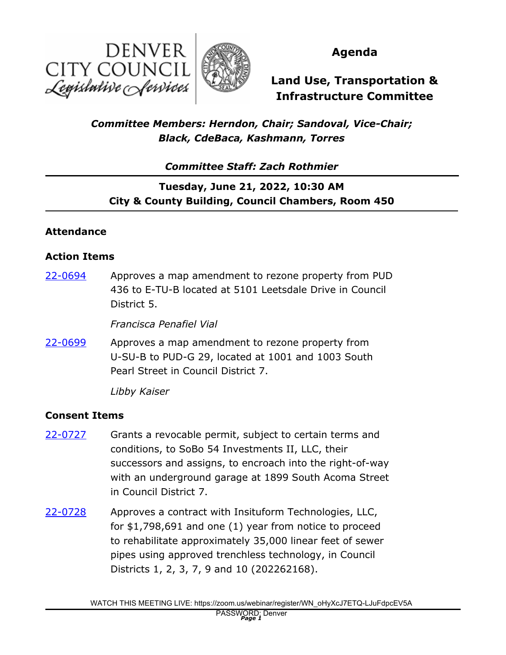



**Agenda**

# **Land Use, Transportation & Infrastructure Committee**

## *Committee Members: Herndon, Chair; Sandoval, Vice-Chair; Black, CdeBaca, Kashmann, Torres*

*Committee Staff: Zach Rothmier*

## **Tuesday, June 21, 2022, 10:30 AM City & County Building, Council Chambers, Room 450**

### **Attendance**

#### **Action Items**

Approves a map amendment to rezone property from PUD 436 to E-TU-B located at 5101 Leetsdale Drive in Council District 5. [22-0694](http://denver.legistar.com/gateway.aspx?m=l&id=/matter.aspx?key=21761)

*Francisca Penafiel Vial*

Approves a map amendment to rezone property from U-SU-B to PUD-G 29, located at 1001 and 1003 South Pearl Street in Council District 7. [22-0699](http://denver.legistar.com/gateway.aspx?m=l&id=/matter.aspx?key=21766)

*Libby Kaiser*

#### **Consent Items**

- Grants a revocable permit, subject to certain terms and conditions, to SoBo 54 Investments II, LLC, their successors and assigns, to encroach into the right-of-way with an underground garage at 1899 South Acoma Street in Council District 7. [22-0727](http://denver.legistar.com/gateway.aspx?m=l&id=/matter.aspx?key=21794)
- Approves a contract with Insituform Technologies, LLC, for \$1,798,691 and one (1) year from notice to proceed to rehabilitate approximately 35,000 linear feet of sewer pipes using approved trenchless technology, in Council Districts 1, 2, 3, 7, 9 and 10 (202262168). [22-0728](http://denver.legistar.com/gateway.aspx?m=l&id=/matter.aspx?key=21795)